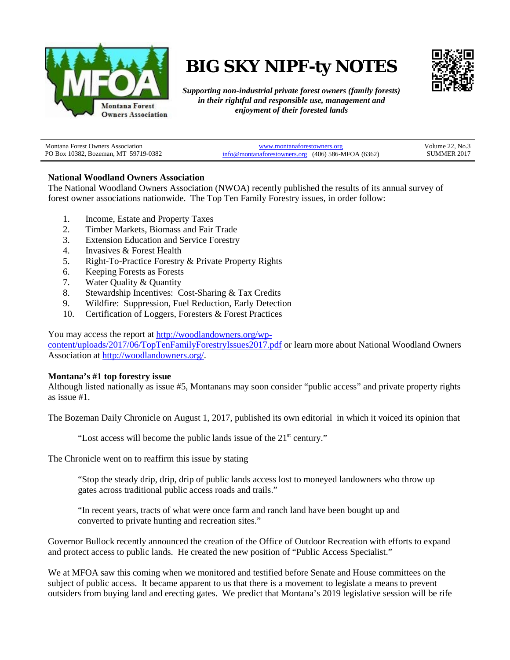

# **BIG SKY NIPF-ty NOTES**



*Supporting non-industrial private forest owners (family forests) in their rightful and responsible use, management and enjoyment of their forested lands*

| <b>Montana Forest Owners Association</b> | www.montanaforestowners.org                           | Volume $22.$ No. $\circ$ |
|------------------------------------------|-------------------------------------------------------|--------------------------|
| PO Box 10382, Bozeman, MT 59719-0382     | $info@$ montanaforestowners.org (406) 586-MFOA (6362) | SUMMER 2017              |

## **National Woodland Owners Association**

The National Woodland Owners Association (NWOA) recently published the results of its annual survey of forest owner associations nationwide. The Top Ten Family Forestry issues, in order follow:

- 1. Income, Estate and Property Taxes
- 2. Timber Markets, Biomass and Fair Trade
- 3. Extension Education and Service Forestry
- 4. Invasives & Forest Health
- 5. Right-To-Practice Forestry & Private Property Rights
- 6. Keeping Forests as Forests
- 7. Water Quality & Quantity
- 8. Stewardship Incentives: Cost-Sharing & Tax Credits
- 9. Wildfire: Suppression, Fuel Reduction, Early Detection
- 10. Certification of Loggers, Foresters & Forest Practices

You may access the report a[t http://woodlandowners.org/wp-](http://woodlandowners.org/wp-content/uploads/2017/06/TopTenFamilyForestryIssues2017.pdf)

[content/uploads/2017/06/TopTenFamilyForestryIssues2017.pdf](http://woodlandowners.org/wp-content/uploads/2017/06/TopTenFamilyForestryIssues2017.pdf) or learn more about National Woodland Owners Association at [http://woodlandowners.org/.](http://woodlandowners.org/)

#### **Montana's #1 top forestry issue**

Although listed nationally as issue #5, Montanans may soon consider "public access" and private property rights as issue #1.

The Bozeman Daily Chronicle on August 1, 2017, published its own editorial in which it voiced its opinion that

"Lost access will become the public lands issue of the  $21<sup>st</sup>$  century."

The Chronicle went on to reaffirm this issue by stating

"Stop the steady drip, drip, drip of public lands access lost to moneyed landowners who throw up gates across traditional public access roads and trails."

"In recent years, tracts of what were once farm and ranch land have been bought up and converted to private hunting and recreation sites."

Governor Bullock recently announced the creation of the Office of Outdoor Recreation with efforts to expand and protect access to public lands. He created the new position of "Public Access Specialist."

We at MFOA saw this coming when we monitored and testified before Senate and House committees on the subject of public access. It became apparent to us that there is a movement to legislate a means to prevent outsiders from buying land and erecting gates. We predict that Montana's 2019 legislative session will be rife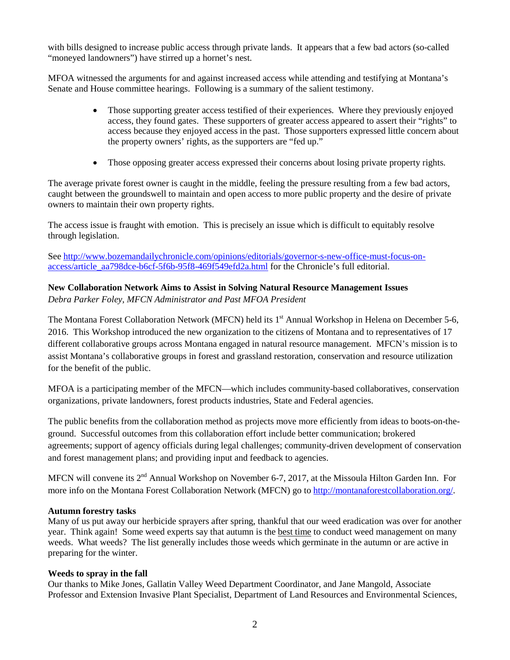with bills designed to increase public access through private lands. It appears that a few bad actors (so-called "moneyed landowners") have stirred up a hornet's nest.

MFOA witnessed the arguments for and against increased access while attending and testifying at Montana's Senate and House committee hearings. Following is a summary of the salient testimony.

- Those supporting greater access testified of their experiences. Where they previously enjoyed access, they found gates. These supporters of greater access appeared to assert their "rights" to access because they enjoyed access in the past. Those supporters expressed little concern about the property owners' rights, as the supporters are "fed up."
- Those opposing greater access expressed their concerns about losing private property rights.

The average private forest owner is caught in the middle, feeling the pressure resulting from a few bad actors, caught between the groundswell to maintain and open access to more public property and the desire of private owners to maintain their own property rights.

The access issue is fraught with emotion. This is precisely an issue which is difficult to equitably resolve through legislation.

See [http://www.bozemandailychronicle.com/opinions/editorials/governor-s-new-office-must-focus-on](http://www.bozemandailychronicle.com/opinions/editorials/governor-s-new-office-must-focus-on-access/article_aa798dce-b6cf-5f6b-95f8-469f549efd2a.html)[access/article\\_aa798dce-b6cf-5f6b-95f8-469f549efd2a.html](http://www.bozemandailychronicle.com/opinions/editorials/governor-s-new-office-must-focus-on-access/article_aa798dce-b6cf-5f6b-95f8-469f549efd2a.html) for the Chronicle's full editorial.

# **New Collaboration Network Aims to Assist in Solving Natural Resource Management Issues** *Debra Parker Foley, MFCN Administrator and Past MFOA President*

The Montana Forest Collaboration Network (MFCN) held its 1<sup>st</sup> Annual Workshop in Helena on December 5-6, 2016. This Workshop introduced the new organization to the citizens of Montana and to representatives of 17 different collaborative groups across Montana engaged in natural resource management. MFCN's mission is to assist Montana's collaborative groups in forest and grassland restoration, conservation and resource utilization for the benefit of the public.

MFOA is a participating member of the MFCN—which includes community-based collaboratives, conservation organizations, private landowners, forest products industries, State and Federal agencies.

The public benefits from the collaboration method as projects move more efficiently from ideas to boots-on-theground. Successful outcomes from this collaboration effort include better communication; brokered agreements; support of agency officials during legal challenges; community-driven development of conservation and forest management plans; and providing input and feedback to agencies.

MFCN will convene its 2<sup>nd</sup> Annual Workshop on November 6-7, 2017, at the Missoula Hilton Garden Inn. For more info on the Montana Forest Collaboration Network (MFCN) go to [http://montanaforestcollaboration.org/.](http://montanaforestcollaboration.org/)

## **Autumn forestry tasks**

Many of us put away our herbicide sprayers after spring, thankful that our weed eradication was over for another year. Think again! Some weed experts say that autumn is the best time to conduct weed management on many weeds. What weeds? The list generally includes those weeds which germinate in the autumn or are active in preparing for the winter.

#### **Weeds to spray in the fall**

Our thanks to Mike Jones, Gallatin Valley Weed Department Coordinator, and Jane Mangold, Associate Professor and Extension Invasive Plant Specialist, Department of Land Resources and Environmental Sciences,